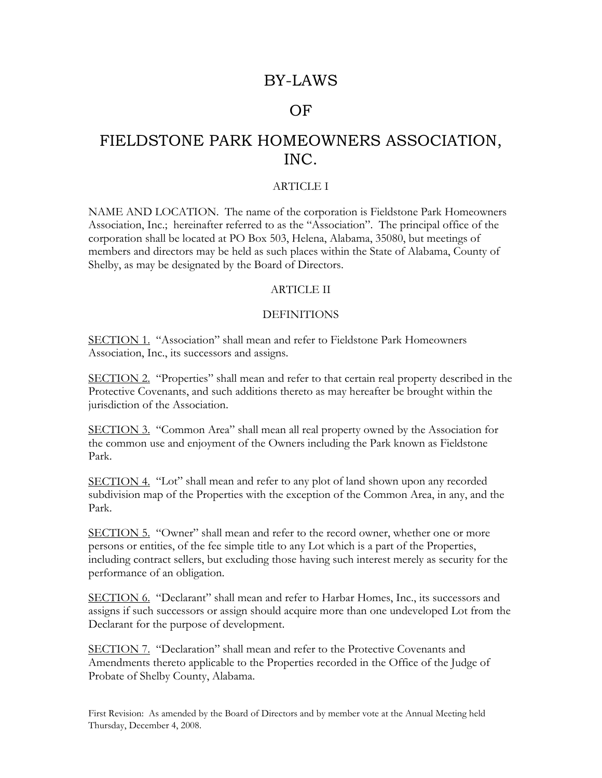# BY-LAWS

## OF

# FIELDSTONE PARK HOMEOWNERS ASSOCIATION, INC.

## ARTICLE I

NAME AND LOCATION. The name of the corporation is Fieldstone Park Homeowners Association, Inc.; hereinafter referred to as the "Association". The principal office of the corporation shall be located at PO Box 503, Helena, Alabama, 35080, but meetings of members and directors may be held as such places within the State of Alabama, County of Shelby, as may be designated by the Board of Directors.

#### ARTICLE II

## **DEFINITIONS**

SECTION 1. "Association" shall mean and refer to Fieldstone Park Homeowners Association, Inc., its successors and assigns.

SECTION 2. "Properties" shall mean and refer to that certain real property described in the Protective Covenants, and such additions thereto as may hereafter be brought within the jurisdiction of the Association.

SECTION 3. "Common Area" shall mean all real property owned by the Association for the common use and enjoyment of the Owners including the Park known as Fieldstone Park.

SECTION 4. "Lot" shall mean and refer to any plot of land shown upon any recorded subdivision map of the Properties with the exception of the Common Area, in any, and the Park.

SECTION 5. "Owner" shall mean and refer to the record owner, whether one or more persons or entities, of the fee simple title to any Lot which is a part of the Properties, including contract sellers, but excluding those having such interest merely as security for the performance of an obligation.

SECTION 6. "Declarant" shall mean and refer to Harbar Homes, Inc., its successors and assigns if such successors or assign should acquire more than one undeveloped Lot from the Declarant for the purpose of development.

SECTION 7. "Declaration" shall mean and refer to the Protective Covenants and Amendments thereto applicable to the Properties recorded in the Office of the Judge of Probate of Shelby County, Alabama.

First Revision: As amended by the Board of Directors and by member vote at the Annual Meeting held Thursday, December 4, 2008.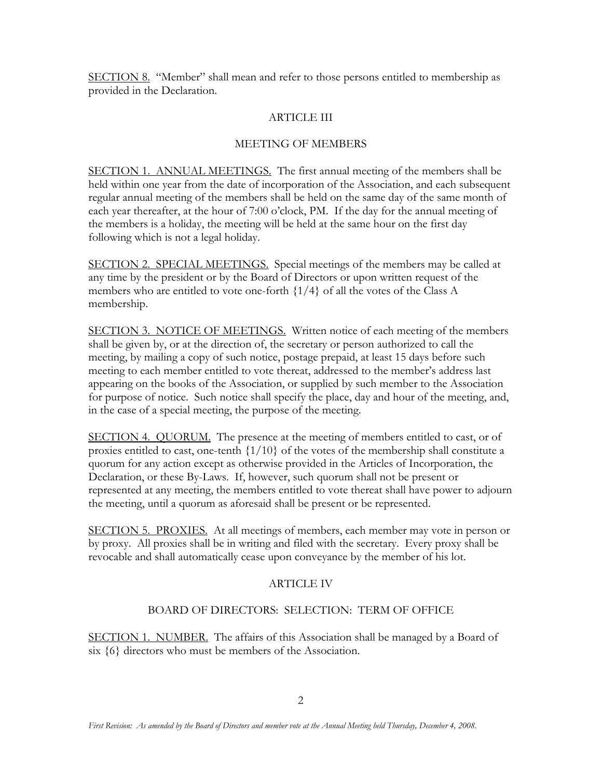SECTION 8. "Member" shall mean and refer to those persons entitled to membership as provided in the Declaration.

## ARTICLE III

## MEETING OF MEMBERS

SECTION 1. ANNUAL MEETINGS. The first annual meeting of the members shall be held within one year from the date of incorporation of the Association, and each subsequent regular annual meeting of the members shall be held on the same day of the same month of each year thereafter, at the hour of 7:00 o'clock, PM. If the day for the annual meeting of the members is a holiday, the meeting will be held at the same hour on the first day following which is not a legal holiday.

SECTION 2. SPECIAL MEETINGS. Special meetings of the members may be called at any time by the president or by the Board of Directors or upon written request of the members who are entitled to vote one-forth  $\{1/4\}$  of all the votes of the Class A membership.

SECTION 3. NOTICE OF MEETINGS. Written notice of each meeting of the members shall be given by, or at the direction of, the secretary or person authorized to call the meeting, by mailing a copy of such notice, postage prepaid, at least 15 days before such meeting to each member entitled to vote thereat, addressed to the member's address last appearing on the books of the Association, or supplied by such member to the Association for purpose of notice. Such notice shall specify the place, day and hour of the meeting, and, in the case of a special meeting, the purpose of the meeting.

SECTION 4. QUORUM. The presence at the meeting of members entitled to cast, or of proxies entitled to cast, one-tenth {1/10} of the votes of the membership shall constitute a quorum for any action except as otherwise provided in the Articles of Incorporation, the Declaration, or these By-Laws. If, however, such quorum shall not be present or represented at any meeting, the members entitled to vote thereat shall have power to adjourn the meeting, until a quorum as aforesaid shall be present or be represented.

SECTION 5. PROXIES. At all meetings of members, each member may vote in person or by proxy. All proxies shall be in writing and filed with the secretary. Every proxy shall be revocable and shall automatically cease upon conveyance by the member of his lot.

## ARTICLE IV

## BOARD OF DIRECTORS: SELECTION: TERM OF OFFICE

SECTION 1. NUMBER. The affairs of this Association shall be managed by a Board of six {6} directors who must be members of the Association.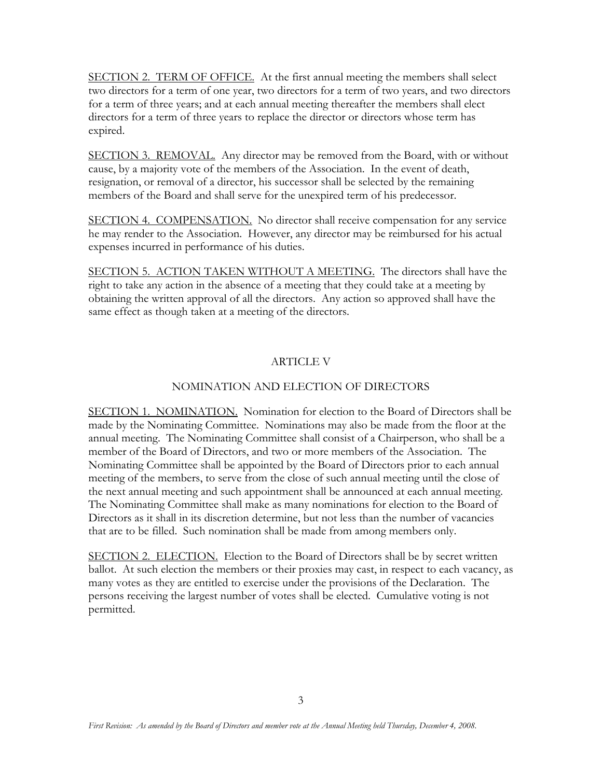SECTION 2. TERM OF OFFICE. At the first annual meeting the members shall select two directors for a term of one year, two directors for a term of two years, and two directors for a term of three years; and at each annual meeting thereafter the members shall elect directors for a term of three years to replace the director or directors whose term has expired.

SECTION 3. REMOVAL. Any director may be removed from the Board, with or without cause, by a majority vote of the members of the Association. In the event of death, resignation, or removal of a director, his successor shall be selected by the remaining members of the Board and shall serve for the unexpired term of his predecessor.

SECTION 4. COMPENSATION. No director shall receive compensation for any service he may render to the Association. However, any director may be reimbursed for his actual expenses incurred in performance of his duties.

SECTION 5. ACTION TAKEN WITHOUT A MEETING. The directors shall have the right to take any action in the absence of a meeting that they could take at a meeting by obtaining the written approval of all the directors. Any action so approved shall have the same effect as though taken at a meeting of the directors.

## ARTICLE V

## NOMINATION AND ELECTION OF DIRECTORS

SECTION 1. NOMINATION. Nomination for election to the Board of Directors shall be made by the Nominating Committee. Nominations may also be made from the floor at the annual meeting. The Nominating Committee shall consist of a Chairperson, who shall be a member of the Board of Directors, and two or more members of the Association. The Nominating Committee shall be appointed by the Board of Directors prior to each annual meeting of the members, to serve from the close of such annual meeting until the close of the next annual meeting and such appointment shall be announced at each annual meeting. The Nominating Committee shall make as many nominations for election to the Board of Directors as it shall in its discretion determine, but not less than the number of vacancies that are to be filled. Such nomination shall be made from among members only.

SECTION 2. ELECTION. Election to the Board of Directors shall be by secret written ballot. At such election the members or their proxies may cast, in respect to each vacancy, as many votes as they are entitled to exercise under the provisions of the Declaration. The persons receiving the largest number of votes shall be elected. Cumulative voting is not permitted.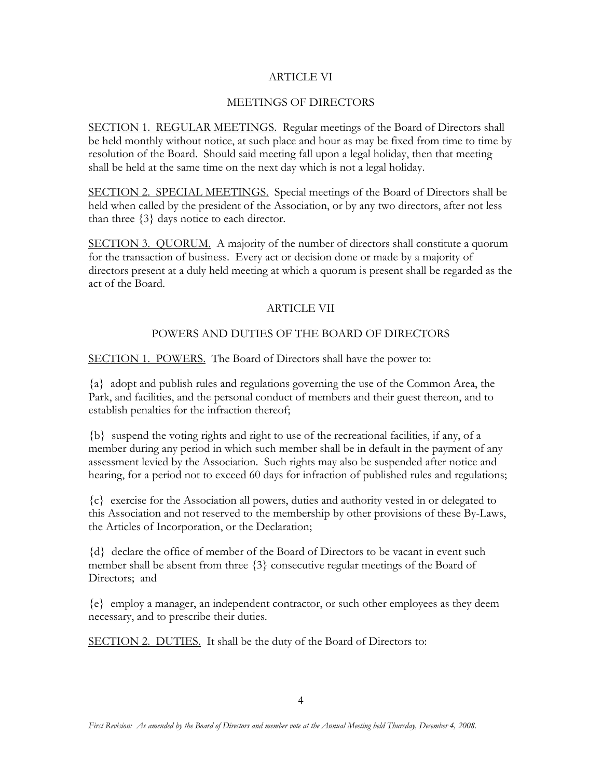## ARTICLE VI

## MEETINGS OF DIRECTORS

SECTION 1. REGULAR MEETINGS. Regular meetings of the Board of Directors shall be held monthly without notice, at such place and hour as may be fixed from time to time by resolution of the Board. Should said meeting fall upon a legal holiday, then that meeting shall be held at the same time on the next day which is not a legal holiday.

SECTION 2. SPECIAL MEETINGS. Special meetings of the Board of Directors shall be held when called by the president of the Association, or by any two directors, after not less than three {3} days notice to each director.

SECTION 3. QUORUM. A majority of the number of directors shall constitute a quorum for the transaction of business. Every act or decision done or made by a majority of directors present at a duly held meeting at which a quorum is present shall be regarded as the act of the Board.

## ARTICLE VII

## POWERS AND DUTIES OF THE BOARD OF DIRECTORS

SECTION 1. POWERS. The Board of Directors shall have the power to:

{a} adopt and publish rules and regulations governing the use of the Common Area, the Park, and facilities, and the personal conduct of members and their guest thereon, and to establish penalties for the infraction thereof;

{b} suspend the voting rights and right to use of the recreational facilities, if any, of a member during any period in which such member shall be in default in the payment of any assessment levied by the Association. Such rights may also be suspended after notice and hearing, for a period not to exceed 60 days for infraction of published rules and regulations;

{c} exercise for the Association all powers, duties and authority vested in or delegated to this Association and not reserved to the membership by other provisions of these By-Laws, the Articles of Incorporation, or the Declaration;

{d} declare the office of member of the Board of Directors to be vacant in event such member shall be absent from three {3} consecutive regular meetings of the Board of Directors; and

{e} employ a manager, an independent contractor, or such other employees as they deem necessary, and to prescribe their duties.

SECTION 2. DUTIES. It shall be the duty of the Board of Directors to: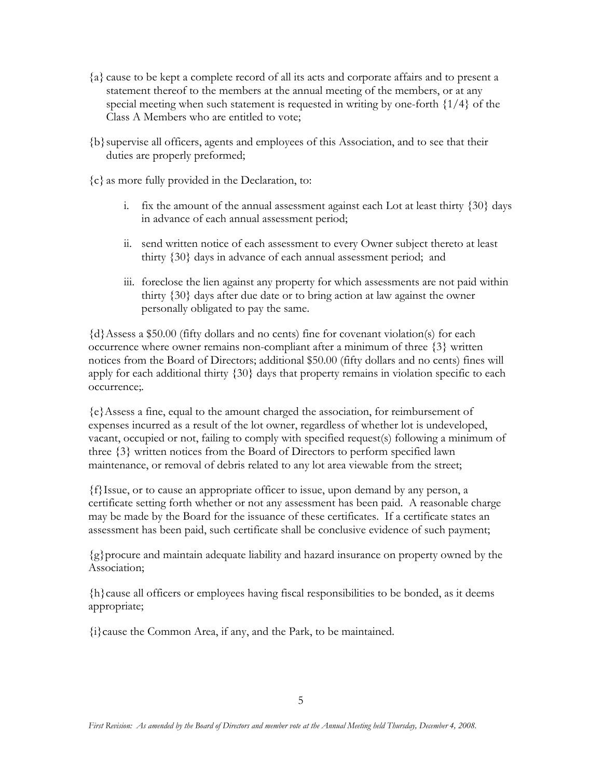- {a} cause to be kept a complete record of all its acts and corporate affairs and to present a statement thereof to the members at the annual meeting of the members, or at any special meeting when such statement is requested in writing by one-forth {1/4} of the Class A Members who are entitled to vote;
- {b}supervise all officers, agents and employees of this Association, and to see that their duties are properly preformed;
- {c} as more fully provided in the Declaration, to:
	- i. fix the amount of the annual assessment against each Lot at least thirty {30} days in advance of each annual assessment period;
	- ii. send written notice of each assessment to every Owner subject thereto at least thirty {30} days in advance of each annual assessment period; and
	- iii. foreclose the lien against any property for which assessments are not paid within thirty {30} days after due date or to bring action at law against the owner personally obligated to pay the same.

{d}Assess a \$50.00 (fifty dollars and no cents) fine for covenant violation(s) for each occurrence where owner remains non-compliant after a minimum of three {3} written notices from the Board of Directors; additional \$50.00 (fifty dollars and no cents) fines will apply for each additional thirty {30} days that property remains in violation specific to each occurrence;.

{e}Assess a fine, equal to the amount charged the association, for reimbursement of expenses incurred as a result of the lot owner, regardless of whether lot is undeveloped, vacant, occupied or not, failing to comply with specified request(s) following a minimum of three {3} written notices from the Board of Directors to perform specified lawn maintenance, or removal of debris related to any lot area viewable from the street;

{f}Issue, or to cause an appropriate officer to issue, upon demand by any person, a certificate setting forth whether or not any assessment has been paid. A reasonable charge may be made by the Board for the issuance of these certificates. If a certificate states an assessment has been paid, such certificate shall be conclusive evidence of such payment;

{g}procure and maintain adequate liability and hazard insurance on property owned by the Association;

{h}cause all officers or employees having fiscal responsibilities to be bonded, as it deems appropriate;

{i}cause the Common Area, if any, and the Park, to be maintained.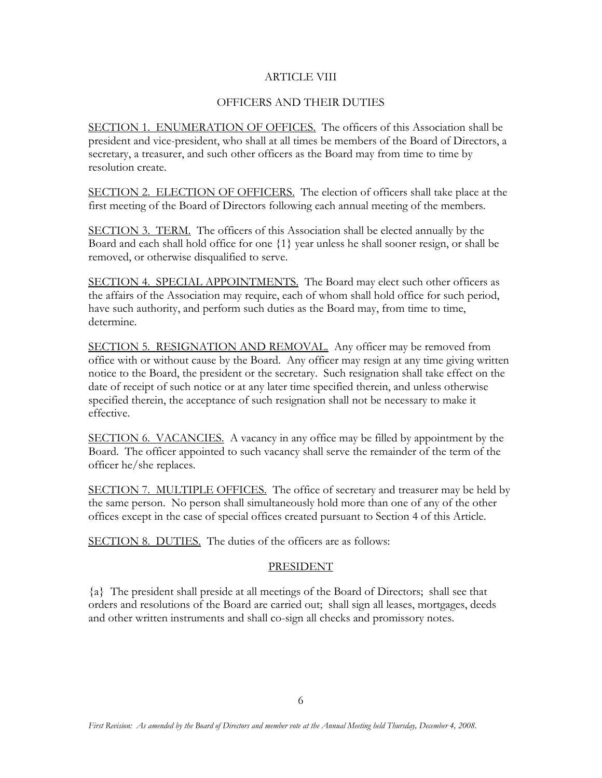## ARTICLE VIII

## OFFICERS AND THEIR DUTIES

SECTION 1. ENUMERATION OF OFFICES. The officers of this Association shall be president and vice-president, who shall at all times be members of the Board of Directors, a secretary, a treasurer, and such other officers as the Board may from time to time by resolution create.

SECTION 2. ELECTION OF OFFICERS. The election of officers shall take place at the first meeting of the Board of Directors following each annual meeting of the members.

SECTION 3. TERM. The officers of this Association shall be elected annually by the Board and each shall hold office for one {1} year unless he shall sooner resign, or shall be removed, or otherwise disqualified to serve.

SECTION 4. SPECIAL APPOINTMENTS. The Board may elect such other officers as the affairs of the Association may require, each of whom shall hold office for such period, have such authority, and perform such duties as the Board may, from time to time, determine.

SECTION 5. RESIGNATION AND REMOVAL. Any officer may be removed from office with or without cause by the Board. Any officer may resign at any time giving written notice to the Board, the president or the secretary. Such resignation shall take effect on the date of receipt of such notice or at any later time specified therein, and unless otherwise specified therein, the acceptance of such resignation shall not be necessary to make it effective.

SECTION 6. VACANCIES. A vacancy in any office may be filled by appointment by the Board. The officer appointed to such vacancy shall serve the remainder of the term of the officer he/she replaces.

SECTION 7. MULTIPLE OFFICES. The office of secretary and treasurer may be held by the same person. No person shall simultaneously hold more than one of any of the other offices except in the case of special offices created pursuant to Section 4 of this Article.

SECTION 8. DUTIES. The duties of the officers are as follows:

## PRESIDENT

{a} The president shall preside at all meetings of the Board of Directors; shall see that orders and resolutions of the Board are carried out; shall sign all leases, mortgages, deeds and other written instruments and shall co-sign all checks and promissory notes.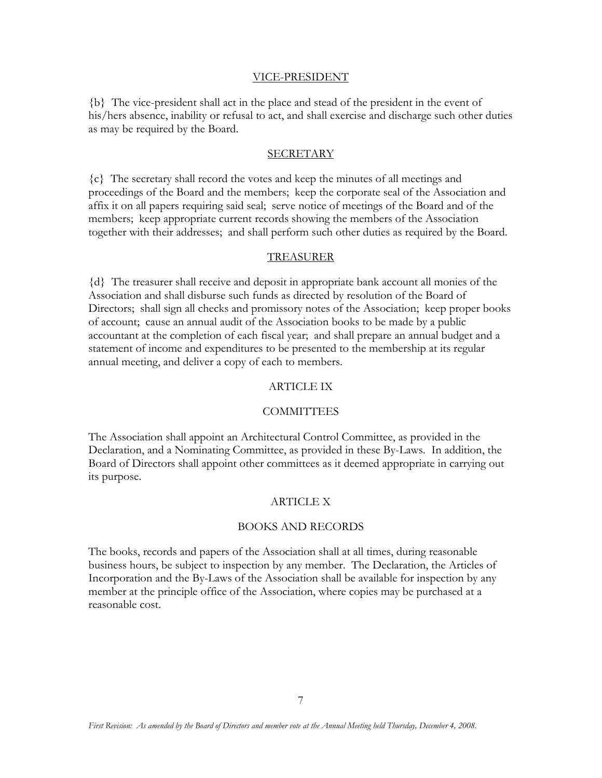#### VICE-PRESIDENT

{b} The vice-president shall act in the place and stead of the president in the event of his/hers absence, inability or refusal to act, and shall exercise and discharge such other duties as may be required by the Board.

#### SECRETARY

{c} The secretary shall record the votes and keep the minutes of all meetings and proceedings of the Board and the members; keep the corporate seal of the Association and affix it on all papers requiring said seal; serve notice of meetings of the Board and of the members; keep appropriate current records showing the members of the Association together with their addresses; and shall perform such other duties as required by the Board.

#### TREASURER

{d} The treasurer shall receive and deposit in appropriate bank account all monies of the Association and shall disburse such funds as directed by resolution of the Board of Directors; shall sign all checks and promissory notes of the Association; keep proper books of account; cause an annual audit of the Association books to be made by a public accountant at the completion of each fiscal year; and shall prepare an annual budget and a statement of income and expenditures to be presented to the membership at its regular annual meeting, and deliver a copy of each to members.

#### ARTICLE IX

#### COMMITTEES

The Association shall appoint an Architectural Control Committee, as provided in the Declaration, and a Nominating Committee, as provided in these By-Laws. In addition, the Board of Directors shall appoint other committees as it deemed appropriate in carrying out its purpose.

## ARTICLE X

#### BOOKS AND RECORDS

The books, records and papers of the Association shall at all times, during reasonable business hours, be subject to inspection by any member. The Declaration, the Articles of Incorporation and the By-Laws of the Association shall be available for inspection by any member at the principle office of the Association, where copies may be purchased at a reasonable cost.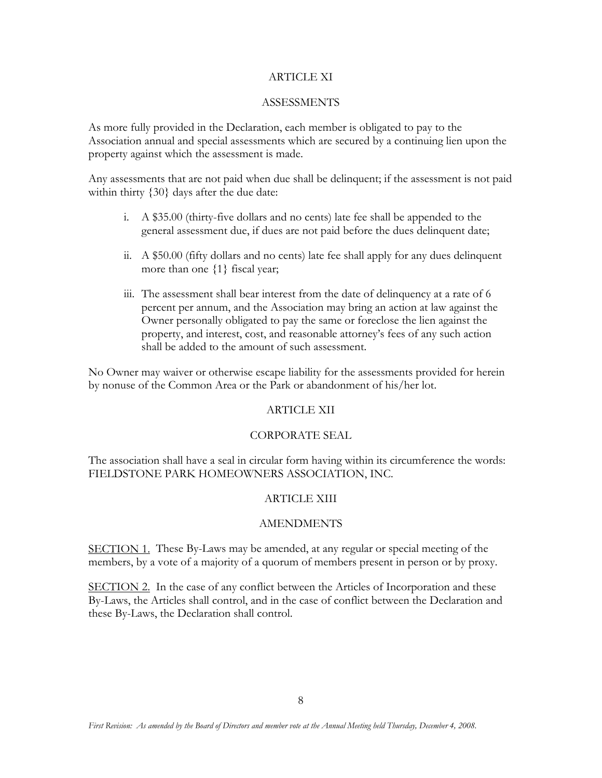### ARTICLE XI

## **ASSESSMENTS**

As more fully provided in the Declaration, each member is obligated to pay to the Association annual and special assessments which are secured by a continuing lien upon the property against which the assessment is made.

Any assessments that are not paid when due shall be delinquent; if the assessment is not paid within thirty  $\{30\}$  days after the due date:

- i. A \$35.00 (thirty-five dollars and no cents) late fee shall be appended to the general assessment due, if dues are not paid before the dues delinquent date;
- ii. A \$50.00 (fifty dollars and no cents) late fee shall apply for any dues delinquent more than one  $\{1\}$  fiscal year;
- iii. The assessment shall bear interest from the date of delinquency at a rate of 6 percent per annum, and the Association may bring an action at law against the Owner personally obligated to pay the same or foreclose the lien against the property, and interest, cost, and reasonable attorney's fees of any such action shall be added to the amount of such assessment.

No Owner may waiver or otherwise escape liability for the assessments provided for herein by nonuse of the Common Area or the Park or abandonment of his/her lot.

## ARTICLE XII

## CORPORATE SEAL

The association shall have a seal in circular form having within its circumference the words: FIELDSTONE PARK HOMEOWNERS ASSOCIATION, INC.

## ARTICLE XIII

## AMENDMENTS

SECTION 1. These By-Laws may be amended, at any regular or special meeting of the members, by a vote of a majority of a quorum of members present in person or by proxy.

SECTION 2. In the case of any conflict between the Articles of Incorporation and these By-Laws, the Articles shall control, and in the case of conflict between the Declaration and these By-Laws, the Declaration shall control.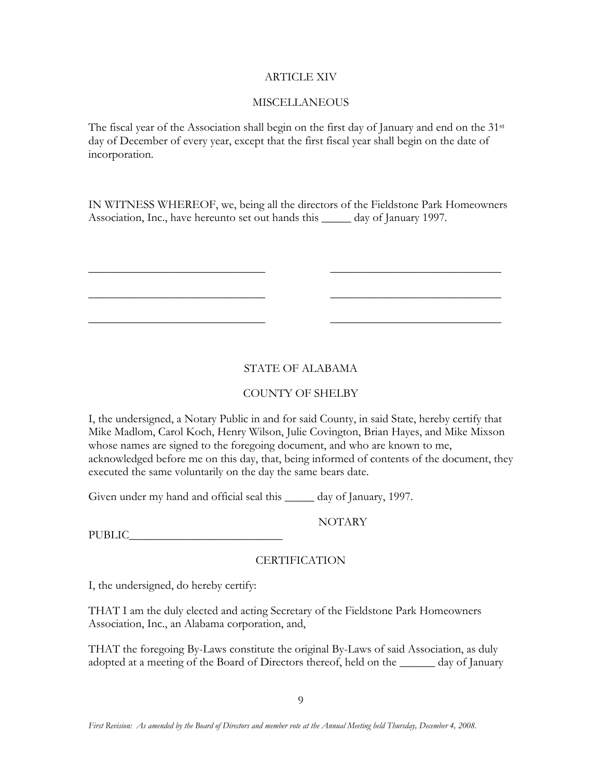## ARTICLE XIV

## MISCELLANEOUS

The fiscal year of the Association shall begin on the first day of January and end on the  $31<sup>st</sup>$ day of December of every year, except that the first fiscal year shall begin on the date of incorporation.

IN WITNESS WHEREOF, we, being all the directors of the Fieldstone Park Homeowners Association, Inc., have hereunto set out hands this \_\_\_\_\_ day of January 1997.

 $\frac{1}{2}$  ,  $\frac{1}{2}$  ,  $\frac{1}{2}$  ,  $\frac{1}{2}$  ,  $\frac{1}{2}$  ,  $\frac{1}{2}$  ,  $\frac{1}{2}$  ,  $\frac{1}{2}$  ,  $\frac{1}{2}$  ,  $\frac{1}{2}$  ,  $\frac{1}{2}$  ,  $\frac{1}{2}$  ,  $\frac{1}{2}$  ,  $\frac{1}{2}$  ,  $\frac{1}{2}$  ,  $\frac{1}{2}$  ,  $\frac{1}{2}$  ,  $\frac{1}{2}$  ,  $\frac{1$ 

 $\frac{1}{2}$  ,  $\frac{1}{2}$  ,  $\frac{1}{2}$  ,  $\frac{1}{2}$  ,  $\frac{1}{2}$  ,  $\frac{1}{2}$  ,  $\frac{1}{2}$  ,  $\frac{1}{2}$  ,  $\frac{1}{2}$  ,  $\frac{1}{2}$  ,  $\frac{1}{2}$  ,  $\frac{1}{2}$  ,  $\frac{1}{2}$  ,  $\frac{1}{2}$  ,  $\frac{1}{2}$  ,  $\frac{1}{2}$  ,  $\frac{1}{2}$  ,  $\frac{1}{2}$  ,  $\frac{1$ 

 $\frac{1}{2}$  ,  $\frac{1}{2}$  ,  $\frac{1}{2}$  ,  $\frac{1}{2}$  ,  $\frac{1}{2}$  ,  $\frac{1}{2}$  ,  $\frac{1}{2}$  ,  $\frac{1}{2}$  ,  $\frac{1}{2}$  ,  $\frac{1}{2}$  ,  $\frac{1}{2}$  ,  $\frac{1}{2}$  ,  $\frac{1}{2}$  ,  $\frac{1}{2}$  ,  $\frac{1}{2}$  ,  $\frac{1}{2}$  ,  $\frac{1}{2}$  ,  $\frac{1}{2}$  ,  $\frac{1$ 

## STATE OF ALABAMA

## COUNTY OF SHELBY

I, the undersigned, a Notary Public in and for said County, in said State, hereby certify that Mike Madlom, Carol Koch, Henry Wilson, Julie Covington, Brian Hayes, and Mike Mixson whose names are signed to the foregoing document, and who are known to me, acknowledged before me on this day, that, being informed of contents of the document, they executed the same voluntarily on the day the same bears date.

Given under my hand and official seal this \_\_\_\_\_ day of January, 1997.

NOTARY

PUBLIC\_\_\_\_\_\_\_\_\_\_\_\_\_\_\_\_\_\_\_\_\_\_\_\_\_\_

## CERTIFICATION

I, the undersigned, do hereby certify:

THAT I am the duly elected and acting Secretary of the Fieldstone Park Homeowners Association, Inc., an Alabama corporation, and,

THAT the foregoing By-Laws constitute the original By-Laws of said Association, as duly adopted at a meeting of the Board of Directors thereof, held on the \_\_\_\_\_\_ day of January